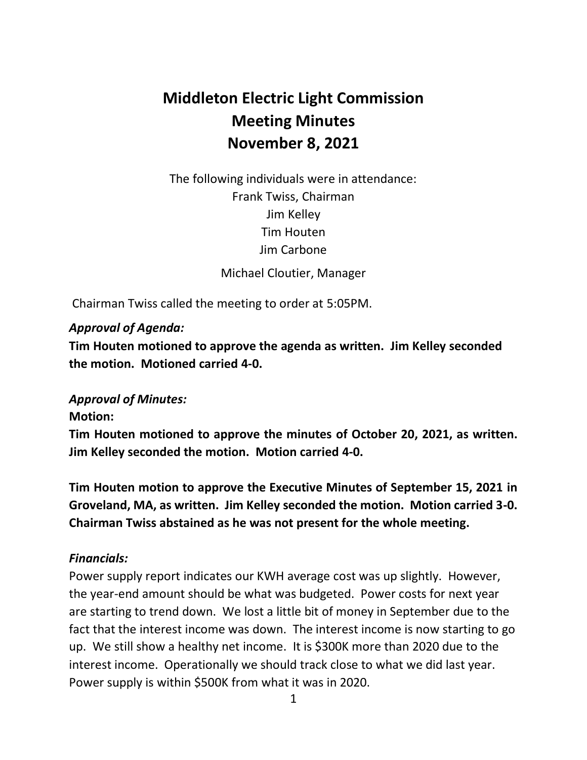# **Middleton Electric Light Commission Meeting Minutes November 8, 2021**

The following individuals were in attendance: Frank Twiss, Chairman Jim Kelley Tim Houten Jim Carbone

Michael Cloutier, Manager

Chairman Twiss called the meeting to order at 5:05PM.

### *Approval of Agenda:*

**Tim Houten motioned to approve the agenda as written. Jim Kelley seconded the motion. Motioned carried 4-0.**

#### *Approval of Minutes:*

#### **Motion:**

**Tim Houten motioned to approve the minutes of October 20, 2021, as written. Jim Kelley seconded the motion. Motion carried 4-0.**

**Tim Houten motion to approve the Executive Minutes of September 15, 2021 in Groveland, MA, as written. Jim Kelley seconded the motion. Motion carried 3-0. Chairman Twiss abstained as he was not present for the whole meeting.**

#### *Financials:*

Power supply report indicates our KWH average cost was up slightly. However, the year-end amount should be what was budgeted. Power costs for next year are starting to trend down. We lost a little bit of money in September due to the fact that the interest income was down. The interest income is now starting to go up. We still show a healthy net income. It is \$300K more than 2020 due to the interest income. Operationally we should track close to what we did last year. Power supply is within \$500K from what it was in 2020.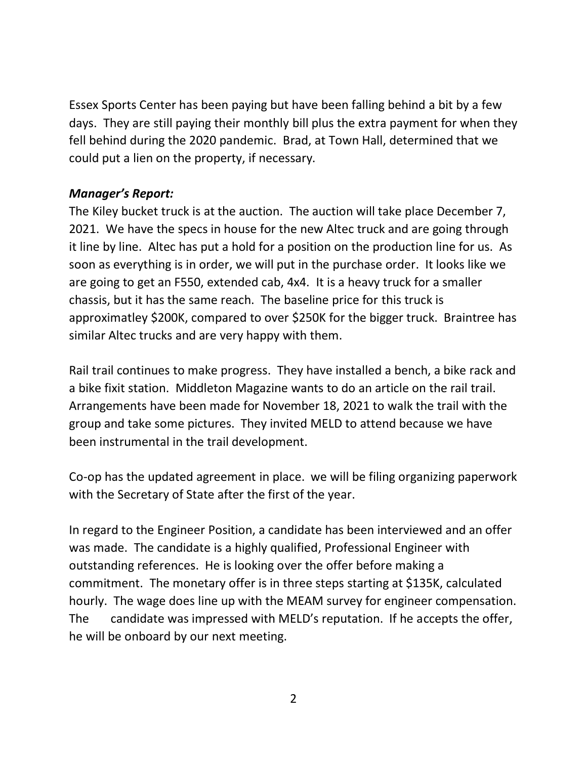Essex Sports Center has been paying but have been falling behind a bit by a few days. They are still paying their monthly bill plus the extra payment for when they fell behind during the 2020 pandemic. Brad, at Town Hall, determined that we could put a lien on the property, if necessary.

## *Manager's Report:*

The Kiley bucket truck is at the auction. The auction will take place December 7, 2021. We have the specs in house for the new Altec truck and are going through it line by line. Altec has put a hold for a position on the production line for us. As soon as everything is in order, we will put in the purchase order. It looks like we are going to get an F550, extended cab, 4x4. It is a heavy truck for a smaller chassis, but it has the same reach. The baseline price for this truck is approximatley \$200K, compared to over \$250K for the bigger truck. Braintree has similar Altec trucks and are very happy with them.

Rail trail continues to make progress. They have installed a bench, a bike rack and a bike fixit station. Middleton Magazine wants to do an article on the rail trail. Arrangements have been made for November 18, 2021 to walk the trail with the group and take some pictures. They invited MELD to attend because we have been instrumental in the trail development.

Co-op has the updated agreement in place. we will be filing organizing paperwork with the Secretary of State after the first of the year.

In regard to the Engineer Position, a candidate has been interviewed and an offer was made. The candidate is a highly qualified, Professional Engineer with outstanding references. He is looking over the offer before making a commitment. The monetary offer is in three steps starting at \$135K, calculated hourly. The wage does line up with the MEAM survey for engineer compensation. The candidate was impressed with MELD's reputation. If he accepts the offer, he will be onboard by our next meeting.